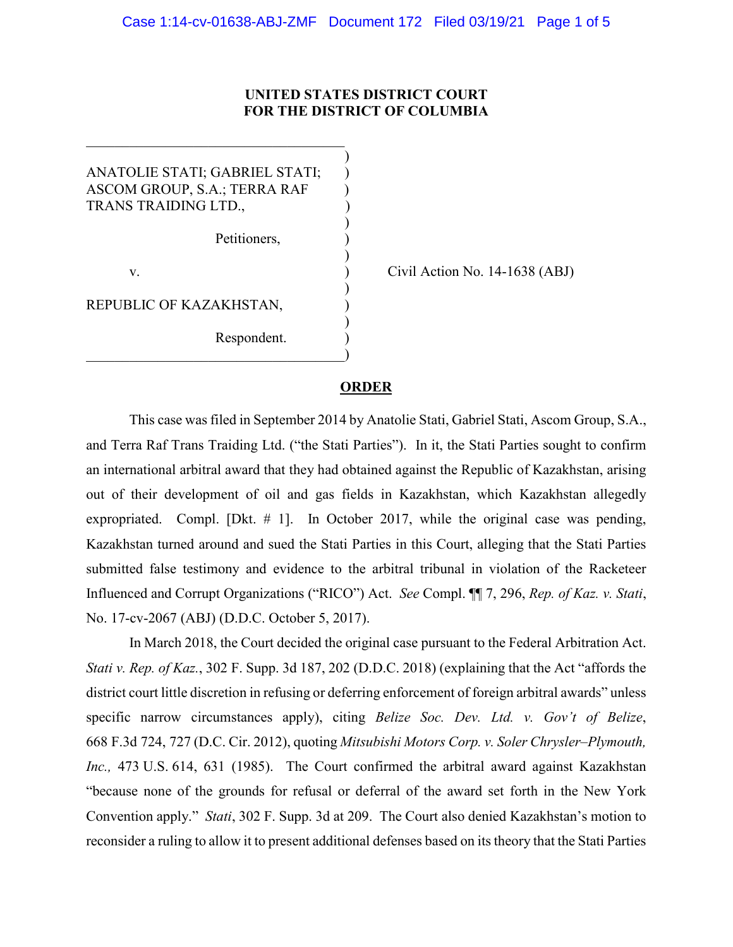## **UNITED STATES DISTRICT COURT FOR THE DISTRICT OF COLUMBIA**

) ANATOLIE STATI; GABRIEL STATI; ) ASCOM GROUP, S.A.; TERRA RAF ) TRANS TRAIDING LTD., )  $\overline{\phantom{a}}$ Petitioners. ) v. ) Civil Action No. 14-1638 (ABJ) ) REPUBLIC OF KAZAKHSTAN, ) Respondent. )  $\hspace{.5em}$   $\hspace{.5em}$   $\hspace{.5em}$   $\hspace{.5em}$   $\hspace{.5em}$   $\hspace{.5em}$   $\hspace{.5em}$   $\hspace{.5em}$   $\hspace{.5em}$   $\hspace{.5em}$   $\hspace{.5em}$   $\hspace{.5em}$   $\hspace{.5em}$   $\hspace{.5em}$   $\hspace{.5em}$   $\hspace{.5em}$   $\hspace{.5em}$   $\hspace{.5em}$   $\hspace{.5em}$   $\hspace{.5em}$ 

 $\overline{\mathcal{L}}$  , and the state of the state of the state of the state of the state of the state of the state of the state of the state of the state of the state of the state of the state of the state of the state of the stat

## **ORDER**

This case was filed in September 2014 by Anatolie Stati, Gabriel Stati, Ascom Group, S.A., and Terra Raf Trans Traiding Ltd. ("the Stati Parties"). In it, the Stati Parties sought to confirm an international arbitral award that they had obtained against the Republic of Kazakhstan, arising out of their development of oil and gas fields in Kazakhstan, which Kazakhstan allegedly expropriated. Compl. [Dkt. # 1]. In October 2017, while the original case was pending, Kazakhstan turned around and sued the Stati Parties in this Court, alleging that the Stati Parties submitted false testimony and evidence to the arbitral tribunal in violation of the Racketeer Influenced and Corrupt Organizations ("RICO") Act. *See* Compl. ¶¶ 7, 296, *Rep. of Kaz. v. Stati*, No. 17-cv-2067 (ABJ) (D.D.C. October 5, 2017).

In March 2018, the Court decided the original case pursuant to the Federal Arbitration Act. *Stati v. Rep. of Kaz.*, 302 F. Supp. 3d 187, 202 (D.D.C. 2018) (explaining that the Act "affords the district court little discretion in refusing or deferring enforcement of foreign arbitral awards" unless specific narrow circumstances apply), citing *Belize Soc. Dev. Ltd. v. Gov't of Belize*, 668 F.3d 724, 727 (D.C. Cir. 2012), quoting *Mitsubishi Motors Corp. v. Soler Chrysler–Plymouth, Inc.,* 473 U.S. 614, 631 (1985). The Court confirmed the arbitral award against Kazakhstan "because none of the grounds for refusal or deferral of the award set forth in the New York Convention apply." *Stati*, 302 F. Supp. 3d at 209. The Court also denied Kazakhstan's motion to reconsider a ruling to allow it to present additional defenses based on its theory that the Stati Parties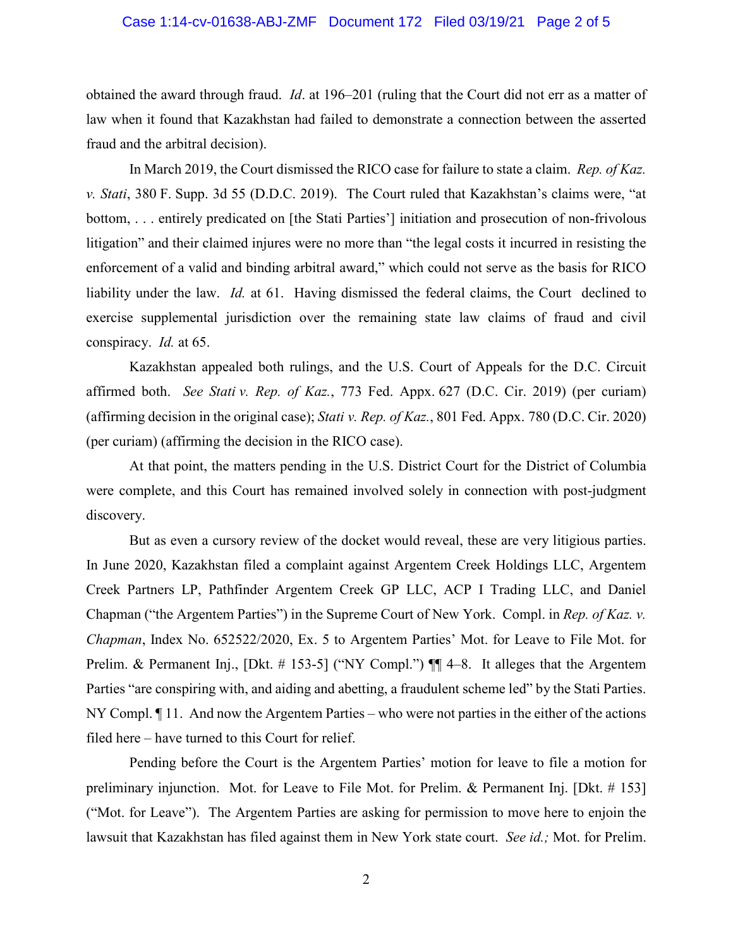## Case 1:14-cv-01638-ABJ-ZMF Document 172 Filed 03/19/21 Page 2 of 5

obtained the award through fraud. *Id*. at 196–201 (ruling that the Court did not err as a matter of law when it found that Kazakhstan had failed to demonstrate a connection between the asserted fraud and the arbitral decision).

In March 2019, the Court dismissed the RICO case for failure to state a claim. *Rep. of Kaz. v. Stati*, 380 F. Supp. 3d 55 (D.D.C. 2019). The Court ruled that Kazakhstan's claims were, "at bottom, . . . entirely predicated on [the Stati Parties'] initiation and prosecution of non-frivolous litigation" and their claimed injures were no more than "the legal costs it incurred in resisting the enforcement of a valid and binding arbitral award," which could not serve as the basis for RICO liability under the law. *Id.* at 61. Having dismissed the federal claims, the Court declined to exercise supplemental jurisdiction over the remaining state law claims of fraud and civil conspiracy. *Id.* at 65.

Kazakhstan appealed both rulings, and the U.S. Court of Appeals for the D.C. Circuit affirmed both. *See Stati v. Rep. of Kaz.*, 773 Fed. Appx. 627 (D.C. Cir. 2019) (per curiam) (affirming decision in the original case); *Stati v. Rep. of Kaz.*, 801 Fed. Appx. 780 (D.C. Cir. 2020) (per curiam) (affirming the decision in the RICO case).

At that point, the matters pending in the U.S. District Court for the District of Columbia were complete, and this Court has remained involved solely in connection with post-judgment discovery.

But as even a cursory review of the docket would reveal, these are very litigious parties. In June 2020, Kazakhstan filed a complaint against Argentem Creek Holdings LLC, Argentem Creek Partners LP, Pathfinder Argentem Creek GP LLC, ACP I Trading LLC, and Daniel Chapman ("the Argentem Parties") in the Supreme Court of New York. Compl. in *Rep. of Kaz. v. Chapman*, Index No. 652522/2020, Ex. 5 to Argentem Parties' Mot. for Leave to File Mot. for Prelim. & Permanent Inj., [Dkt. # 153-5] ("NY Compl.")  $\P$  4–8. It alleges that the Argentem Parties "are conspiring with, and aiding and abetting, a fraudulent scheme led" by the Stati Parties. NY Compl. ¶ 11. And now the Argentem Parties – who were not parties in the either of the actions filed here – have turned to this Court for relief.

Pending before the Court is the Argentem Parties' motion for leave to file a motion for preliminary injunction. Mot. for Leave to File Mot. for Prelim. & Permanent Inj. [Dkt. # 153] ("Mot. for Leave"). The Argentem Parties are asking for permission to move here to enjoin the lawsuit that Kazakhstan has filed against them in New York state court. *See id.;* Mot. for Prelim.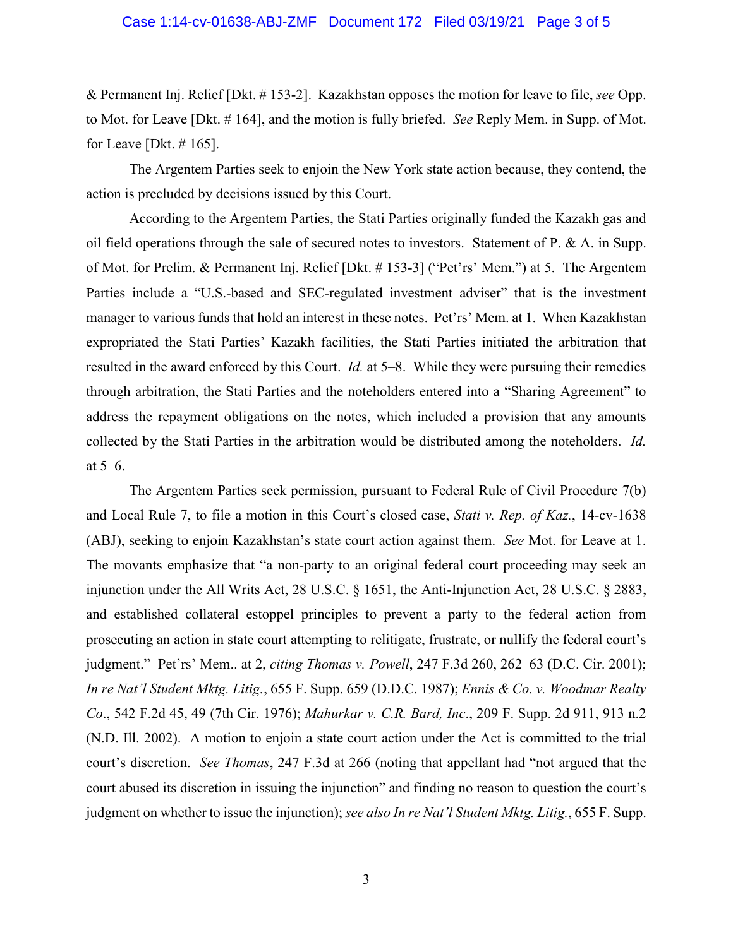& Permanent Inj. Relief [Dkt. # 153-2]. Kazakhstan opposes the motion for leave to file, *see* Opp. to Mot. for Leave [Dkt. # 164], and the motion is fully briefed. *See* Reply Mem. in Supp. of Mot. for Leave [Dkt.  $\#$  165].

The Argentem Parties seek to enjoin the New York state action because, they contend, the action is precluded by decisions issued by this Court.

According to the Argentem Parties, the Stati Parties originally funded the Kazakh gas and oil field operations through the sale of secured notes to investors. Statement of P. & A. in Supp. of Mot. for Prelim. & Permanent Inj. Relief [Dkt. # 153-3] ("Pet'rs' Mem.") at 5. The Argentem Parties include a "U.S.-based and SEC-regulated investment adviser" that is the investment manager to various funds that hold an interest in these notes. Pet'rs' Mem. at 1. When Kazakhstan expropriated the Stati Parties' Kazakh facilities, the Stati Parties initiated the arbitration that resulted in the award enforced by this Court. *Id.* at 5–8.While they were pursuing their remedies through arbitration, the Stati Parties and the noteholders entered into a "Sharing Agreement" to address the repayment obligations on the notes, which included a provision that any amounts collected by the Stati Parties in the arbitration would be distributed among the noteholders. *Id.* at 5–6.

The Argentem Parties seek permission, pursuant to Federal Rule of Civil Procedure 7(b) and Local Rule 7, to file a motion in this Court's closed case, *Stati v. Rep. of Kaz.*, 14-cv-1638 (ABJ), seeking to enjoin Kazakhstan's state court action against them. *See* Mot. for Leave at 1. The movants emphasize that "a non-party to an original federal court proceeding may seek an injunction under the All Writs Act, 28 U.S.C. § 1651, the Anti-Injunction Act, 28 U.S.C. § 2883, and established collateral estoppel principles to prevent a party to the federal action from prosecuting an action in state court attempting to relitigate, frustrate, or nullify the federal court's judgment." Pet'rs' Mem.. at 2, *citing Thomas v. Powell*, 247 F.3d 260, 262–63 (D.C. Cir. 2001); *In re Nat'l Student Mktg. Litig.*, 655 F. Supp. 659 (D.D.C. 1987); *Ennis & Co. v. Woodmar Realty Co*., 542 F.2d 45, 49 (7th Cir. 1976); *Mahurkar v. C.R. Bard, Inc*., 209 F. Supp. 2d 911, 913 n.2 (N.D. Ill. 2002). A motion to enjoin a state court action under the Act is committed to the trial court's discretion. *See Thomas*, 247 F.3d at 266 (noting that appellant had "not argued that the court abused its discretion in issuing the injunction" and finding no reason to question the court's judgment on whether to issue the injunction); *see also In re Nat'l Student Mktg. Litig.*, 655 F. Supp.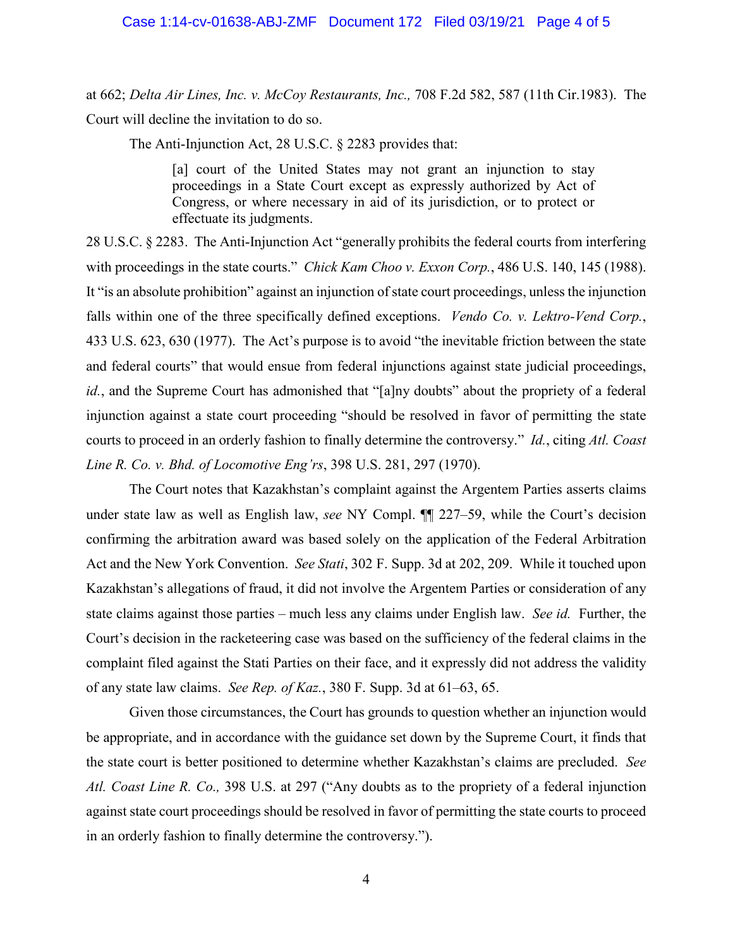## Case 1:14-cv-01638-ABJ-ZMF Document 172 Filed 03/19/21 Page 4 of 5

at 662; *Delta Air Lines, Inc. v. McCoy Restaurants, Inc.,* 708 F.2d 582, 587 (11th Cir.1983). The Court will decline the invitation to do so.

The Anti-Injunction Act, 28 U.S.C. § 2283 provides that:

[a] court of the United States may not grant an injunction to stay proceedings in a State Court except as expressly authorized by Act of Congress, or where necessary in aid of its jurisdiction, or to protect or effectuate its judgments.

28 U.S.C. § 2283. The Anti-Injunction Act "generally prohibits the federal courts from interfering with proceedings in the state courts." *Chick Kam Choo v. Exxon Corp.*, 486 U.S. 140, 145 (1988). It "is an absolute prohibition" against an injunction of state court proceedings, unless the injunction falls within one of the three specifically defined exceptions. *Vendo Co. v. Lektro-Vend Corp.*, 433 U.S. 623, 630 (1977). The Act's purpose is to avoid "the inevitable friction between the state and federal courts" that would ensue from federal injunctions against state judicial proceedings, id., and the Supreme Court has admonished that "[a]ny doubts" about the propriety of a federal injunction against a state court proceeding "should be resolved in favor of permitting the state courts to proceed in an orderly fashion to finally determine the controversy." *Id.*, citing *Atl. Coast Line R. Co. v. Bhd. of Locomotive Eng'rs*, 398 U.S. 281, 297 (1970).

The Court notes that Kazakhstan's complaint against the Argentem Parties asserts claims under state law as well as English law, *see* NY Compl. ¶¶ 227–59, while the Court's decision confirming the arbitration award was based solely on the application of the Federal Arbitration Act and the New York Convention. *See Stati*, 302 F. Supp. 3d at 202, 209. While it touched upon Kazakhstan's allegations of fraud, it did not involve the Argentem Parties or consideration of any state claims against those parties – much less any claims under English law. *See id.* Further, the Court's decision in the racketeering case was based on the sufficiency of the federal claims in the complaint filed against the Stati Parties on their face, and it expressly did not address the validity of any state law claims. *See Rep. of Kaz.*, 380 F. Supp. 3d at 61–63, 65.

Given those circumstances, the Court has grounds to question whether an injunction would be appropriate, and in accordance with the guidance set down by the Supreme Court, it finds that the state court is better positioned to determine whether Kazakhstan's claims are precluded. *See Atl. Coast Line R. Co.,* 398 U.S. at 297 ("Any doubts as to the propriety of a federal injunction against state court proceedings should be resolved in favor of permitting the state courts to proceed in an orderly fashion to finally determine the controversy.").